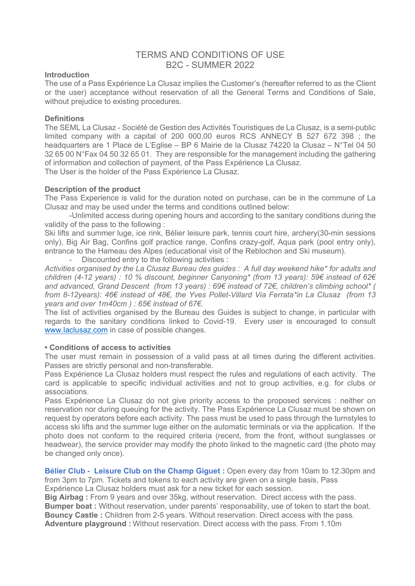# TERMS AND CONDITIONS OF USE B2C - SUMMER 2022

#### **Introduction**

The use of a Pass Expérience La Clusaz implies the Customer's (hereafter referred to as the Client or the user) acceptance without reservation of all the General Terms and Conditions of Sale, without prejudice to existing procedures.

### **Definitions**

The SEML La Clusaz - Société de Gestion des Activités Touristiques de La Clusaz, is a semi-public limited company with a capital of 200 000,00 euros RCS ANNECY B 527 672 398 ; the headquarters are 1 Place de L'Eglise – BP 6 Mairie de la Clusaz 74220 la Clusaz – N°Tel 04 50 32 65 00 N°Fax 04 50 32 65 01. They are responsible for the management including the gathering of information and collection of payment, of the Pass Expérience La Clusaz. The User is the holder of the Pass Expérience La Clusaz.

### **Description of the product**

The Pass Experience is valid for the duration noted on purchase, can be in the commune of La Clusaz and may be used under the terms and conditions outlined below:

-Unlimited access during opening hours and according to the sanitary conditions during the validity of the pass to the following :

Ski lifts and summer luge, ice rink, Bélier leisure park, tennis court hire, archery(30-min sessions only), Big Air Bag, Confins golf practice range, Confins crazy-golf, Aqua park (pool entry only), entrance to the Hameau des Alpes (educational visit of the Reblochon and Ski museum).

- Discounted entry to the following activities :

*Activities organised by the La Clusaz Bureau des guides : A full day weekend hike\* for adults and children (4-12 years) : 10 % discount, beginner Canyoning\* (from 13 years): 59€ instead of 62€ and advanced, Grand Descent (from 13 years) : 69€ instead of 72€, children's climbing school\* ( from 8-12years): 46€ instead of 48€, the Yves Pollet-Villard Via Ferrata\*in La Clusaz (from 13 years and over 1m40cm ) : 65€ instead of 67€.*

The list of activities organised by the Bureau des Guides is subject to change, in particular with regards to the sanitary conditions linked to Covid-19. Every user is encouraged to consult www.laclusaz.com in case of possible changes.

# **• Conditions of access to activities**

The user must remain in possession of a valid pass at all times during the different activities. Passes are strictly personal and non-transferable.

Pass Expérience La Clusaz holders must respect the rules and regulations of each activity. The card is applicable to specific individual activities and not to group activities, e.g. for clubs or associations.

Pass Expérience La Clusaz do not give priority access to the proposed services : neither on reservation nor during queuing for the activity. The Pass Expérience La Clusaz must be shown on request by operators before each activity. The pass must be used to pass through the turnstyles to access ski lifts and the summer luge either on the automatic terminals or via the application. If the photo does not conform to the required criteria (recent, from the front, without sunglasses or headwear), the service provider may modify the photo linked to the magnetic card (the photo may be changed only once).

**Bélier Club - Leisure Club on the Champ Giguet :** Open every day from 10am to 12.30pm and from 3pm to 7pm. Tickets and tokens to each activity are given on a single basis, Pass Expérience La Clusaz holders must ask for a new ticket for each session.

**Big Airbag :** From 9 years and over 35kg, without reservation. Direct access with the pass.

**Bumper boat :** Without reservation, under parents' responsability, use of token to start the boat. **Bouncy Castle :** Children from 2-5 years. Without reservation. Direct access with the pass.

**Adventure playground :** Without reservation. Direct access with the pass. From 1.10m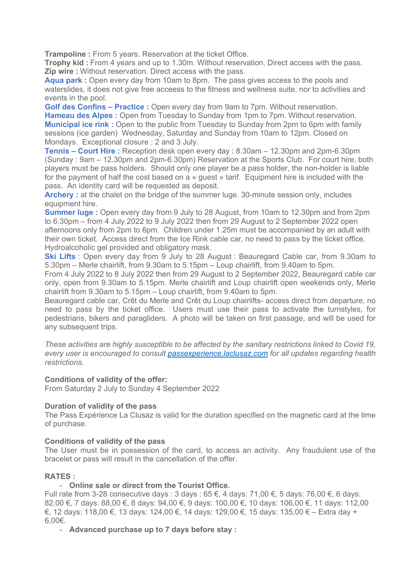**Trampoline :** From 5 years. Reservation at the ticket Office.

**Trophy kid :** From 4 years and up to 1.30m. Without reservation. Direct access with the pass. **Zip wire :** Without reservation. Direct access with the pass.

**Aqua park :** Open every day from 10am to 8pm. The pass gives access to the pools and waterslides, it does not give free acceess to the fitness and wellness suite, nor to activities and events in the pool.

**Golf des Confins – Practice :** Open every day from 9am to 7pm. Without reservation. **Hameau des Alpes :** Open from Tuesday to Sunday from 1pm to 7pm. Without reservation. **Municipal ice rink :** Open to the public from Tuesday to Sunday from 2pm to 6pm with family sessions (ice garden) Wednesday, Saturday and Sunday from 10am to 12pm. Closed on Mondays. Exceptional closure : 2 and 3 July.

**Tennis – Court Hire :** Reception desk open every day : 8.30am – 12.30pm and 2pm-6.30pm (Sunday : 9am – 12.30pm and 2pm-6.30pm) Reservation at the Sports Club. For court hire, both players must be pass holders. Should only one player be a pass holder, the non-holder is liable for the payment of half the cost based on a « guest » tarif. Equipment hire is included with the pass. An identity card will be requested as deposit.

**Archery**: at the chalet on the bridge of the summer luge, 30-minute session only, includes equipment hire.

**Summer luge** : Open every day from 9 July to 28 August, from 10am to 12.30pm and from 2pm to 6.30pm – from 4 July 2022 to 9 July 2022 then from 29 August to 2 September 2022 open afternoons only from 2pm to 6pm. Children under 1.25m must be accompanied by an adult with their own ticket. Access direct from the Ice Rink cable car, no need to pass by the ticket office. Hydroalcoholic gel provided and obligatory mask.

**Ski Lifts** : Open every day from 9 July to 28 August : Beauregard Cable car, from 9.30am to 5.30pm – Merle chairlift, from 9.30am to 5.15pm – Loup chairlift, from 9.40am to 5pm.

From 4 July 2022 to 8 July 2022 then from 29 August to 2 September 2022, Beauregard cable car only, open from 9.30am to 5.15pm. Merle chairlift and Loup chairlift open weekends only, Merle chairlift from 9.30am to 5.15pm – Loup chairlift, from 9.40am to 5pm.

Beauregard cable car, Crêt du Merle and Crêt du Loup chairlifts- access direct from departure, no need to pass by the ticket office. Users must use their pass to activate the turnstyles, for pedestrians, bikers and paragliders. A photo will be taken on first passage, and will be used for any subsequent trips.

*These activities are highly susceptible to be affected by the sanitary restrictions linked to Covid 19, every user is encouraged to consult passexperience.laclusaz.com for all updates regarding health restrictions.*

# **Conditions of validity of the offer:**

From Saturday 2 July to Sunday 4 September 2022

# **Duration of validity of the pass**

The Pass Expérience La Clusaz is valid for the duration specified on the magnetic card at the time of purchase.

#### **Conditions of validity of the pass**

The User must be in possession of the card, to access an activity. Any fraudulent use of the bracelet or pass will result in the cancellation of the offer.

# **RATES :**

# - **Online sale or direct from the Tourist Office.**

Full rate from 3-28 consecutive days : 3 days : 65 €, 4 days: 71,00 €, 5 days: 76,00 €, 6 days: 82,00 €, 7 days: 88,00 €, 8 days: 94,00 €, 9 days: 100,00 €, 10 days: 106,00 €, 11 days: 112,00 €, 12 days: 118,00 €, 13 days: 124,00 €, 14 days: 129,00 €, 15 days: 135,00 € – Extra day + 6,00€.

- **Advanced purchase up to 7 days before stay :**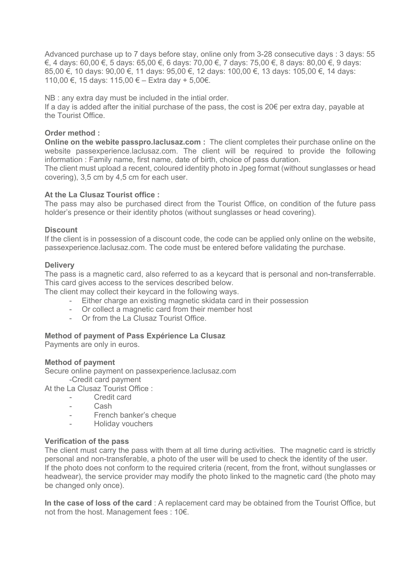Advanced purchase up to 7 days before stay, online only from 3-28 consecutive days : 3 days: 55 €, 4 days: 60,00 €, 5 days: 65,00 €, 6 days: 70,00 €, 7 days: 75,00 €, 8 days: 80,00 €, 9 days: 85,00 €, 10 days: 90,00 €, 11 days: 95,00 €, 12 days: 100,00 €, 13 days: 105,00 €, 14 days: 110,00 €, 15 days: 115,00 € – Extra day + 5,00€.

NB : any extra day must be included in the intial order.

If a day is added after the initial purchase of the pass, the cost is  $20 \epsilon$  per extra day, payable at the Tourist Office.

# **Order method :**

**Online on the webite passpro.laclusaz.com :** The client completes their purchase online on the website passexperience.laclusaz.com. The client will be required to provide the following information : Family name, first name, date of birth, choice of pass duration.

The client must upload a recent, coloured identity photo in Jpeg format (without sunglasses or head covering), 3,5 cm by 4,5 cm for each user.

### **At the La Clusaz Tourist office :**

The pass may also be purchased direct from the Tourist Office, on condition of the future pass holder's presence or their identity photos (without sunglasses or head covering).

### **Discount**

If the client is in possession of a discount code, the code can be applied only online on the website, passexperience.laclusaz.com. The code must be entered before validating the purchase.

### **Delivery**

The pass is a magnetic card, also referred to as a keycard that is personal and non-transferrable. This card gives access to the services described below.

The client may collect their keycard in the following ways.

- Either charge an existing magnetic skidata card in their possession
- Or collect a magnetic card from their member host
- Or from the La Clusaz Tourist Office.

#### **Method of payment of Pass Expérience La Clusaz**

Payments are only in euros.

#### **Method of payment**

Secure online payment on passexperience.laclusaz.com -Credit card payment

At the La Clusaz Tourist Office :

- Credit card
	- Cash
	- French banker's cheque
	- Holiday vouchers

#### **Verification of the pass**

The client must carry the pass with them at all time during activities. The magnetic card is strictly personal and non-transferable, a photo of the user will be used to check the identity of the user. If the photo does not conform to the required criteria (recent, from the front, without sunglasses or headwear), the service provider may modify the photo linked to the magnetic card (the photo may be changed only once).

**In the case of loss of the card** : A replacement card may be obtained from the Tourist Office, but not from the host. Management fees : 10€.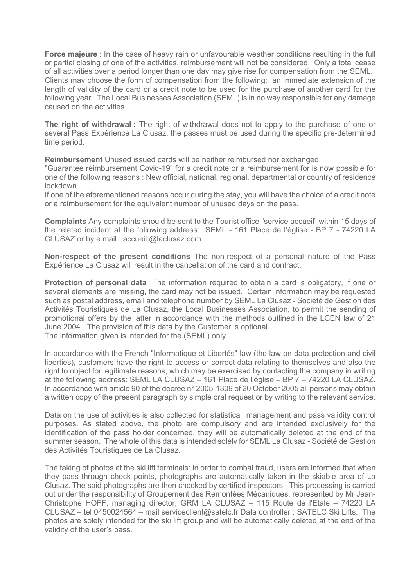**Force majeure** : In the case of heavy rain or unfavourable weather conditions resulting in the full or partial closing of one of the activities, reimbursement will not be considered. Only a total cease of all activities over a period longer than one day may give rise for compensation from the SEML. Clients may choose the form of compensation from the following: an immediate extension of the length of validity of the card or a credit note to be used for the purchase of another card for the following year. The Local Businesses Association (SEML) is in no way responsible for any damage caused on the activities.

**The right of withdrawal :** The right of withdrawal does not to apply to the purchase of one or several Pass Expérience La Clusaz, the passes must be used during the specific pre-determined time period.

**Reimbursement** Unused issued cards will be neither reimbursed nor exchanged.

"Guarantee reimbursement Covid-19" for a credit note or a reimbursement for is now possible for one of the following reasons : New official, national, regional, departmental or country of residence lockdown.

If one of the aforementioned reasons occur during the stay, you will have the choice of a credit note or a reimbursement for the equivalent number of unused days on the pass.

**Complaints** Any complaints should be sent to the Tourist office "service accueil" within 15 days of the related incident at the following address: SEML - 161 Place de l'église - BP 7 - 74220 LA CLUSAZ or by e mail : accueil @laclusaz.com

**Non-respect of the present conditions** The non-respect of a personal nature of the Pass Expérience La Clusaz will result in the cancellation of the card and contract.

**Protection of personal data** The information required to obtain a card is obligatory, if one or several elements are missing, the card may not be issued. Certain information may be requested such as postal address, email and telephone number by SEML La Clusaz - Société de Gestion des Activités Touristiques de La Clusaz, the Local Businesses Association, to permit the sending of promotional offers by the latter in accordance with the methods outlined in the LCEN law of 21 June 2004. The provision of this data by the Customer is optional. The information given is intended for the (SEML) only.

In accordance with the French "Informatique et Libertés" law (the law on data protection and civil liberties), customers have the right to access or correct data relating to themselves and also the right to object for legitimate reasons, which may be exercised by contacting the company in writing at the following address: SEML LA CLUSAZ – 161 Place de l'église – BP 7 – 74220 LA CLUSAZ. In accordance with article 90 of the decree n° 2005-1309 of 20 October 2005 all persons may obtain a written copy of the present paragraph by simple oral request or by writing to the relevant service.

Data on the use of activities is also collected for statistical, management and pass validity control purposes. As stated above, the photo are compulsory and are intended exclusively for the identification of the pass holder concerned, they will be automatically deleted at the end of the summer season. The whole of this data is intended solely for SEML La Clusaz - Société de Gestion des Activités Touristiques de La Clusaz.

The taking of photos at the ski lift terminals: in order to combat fraud, users are informed that when they pass through check points, photographs are automatically taken in the skiable area of La Clusaz. The said photographs are then checked by certified inspectors. This processing is carried out under the responsibility of Groupement des Remontées Mécaniques, represented by Mr Jean-Christophe HOFF, managing director, GRM LA CLUSAZ – 115 Route de l'Etale – 74220 LA CLUSAZ – tel 0450024564 – mail serviceclient@satelc.fr Data controller : SATELC Ski Lifts. The photos are solely intended for the ski lift group and will be automatically deleted at the end of the validity of the user's pass.